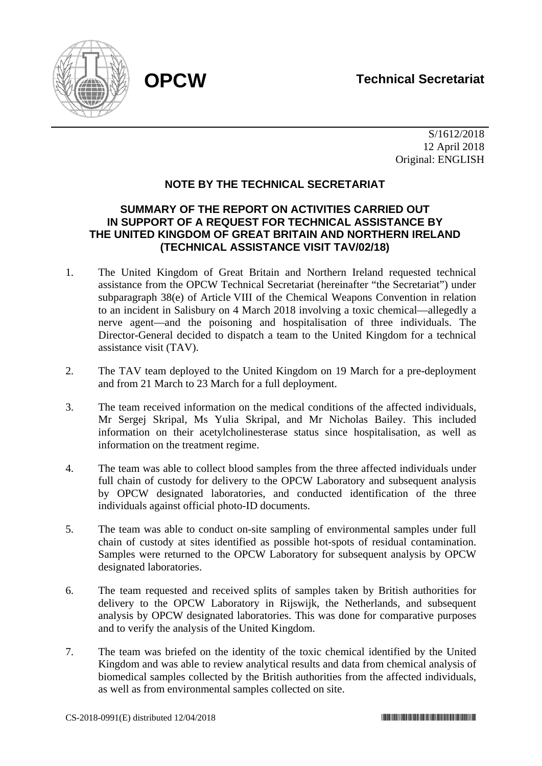

 S/1612/2018 12 April 2018 Original: ENGLISH

## **NOTE BY THE TECHNICAL SECRETARIAT**

## **SUMMARY OF THE REPORT ON ACTIVITIES CARRIED OUT IN SUPPORT OF A REQUEST FOR TECHNICAL ASSISTANCE BY THE UNITED KINGDOM OF GREAT BRITAIN AND NORTHERN IRELAND (TECHNICAL ASSISTANCE VISIT TAV/02/18)**

- 1. The United Kingdom of Great Britain and Northern Ireland requested technical assistance from the OPCW Technical Secretariat (hereinafter "the Secretariat") under subparagraph 38(e) of Article VIII of the Chemical Weapons Convention in relation to an incident in Salisbury on 4 March 2018 involving a toxic chemical—allegedly a nerve agent—and the poisoning and hospitalisation of three individuals. The Director-General decided to dispatch a team to the United Kingdom for a technical assistance visit (TAV).
- 2. The TAV team deployed to the United Kingdom on 19 March for a pre-deployment and from 21 March to 23 March for a full deployment.
- 3. The team received information on the medical conditions of the affected individuals, Mr Sergej Skripal, Ms Yulia Skripal, and Mr Nicholas Bailey. This included information on their acetylcholinesterase status since hospitalisation, as well as information on the treatment regime.
- 4. The team was able to collect blood samples from the three affected individuals under full chain of custody for delivery to the OPCW Laboratory and subsequent analysis by OPCW designated laboratories, and conducted identification of the three individuals against official photo-ID documents.
- 5. The team was able to conduct on-site sampling of environmental samples under full chain of custody at sites identified as possible hot-spots of residual contamination. Samples were returned to the OPCW Laboratory for subsequent analysis by OPCW designated laboratories.
- 6. The team requested and received splits of samples taken by British authorities for delivery to the OPCW Laboratory in Rijswijk, the Netherlands, and subsequent analysis by OPCW designated laboratories. This was done for comparative purposes and to verify the analysis of the United Kingdom.
- 7. The team was briefed on the identity of the toxic chemical identified by the United Kingdom and was able to review analytical results and data from chemical analysis of biomedical samples collected by the British authorities from the affected individuals, as well as from environmental samples collected on site.